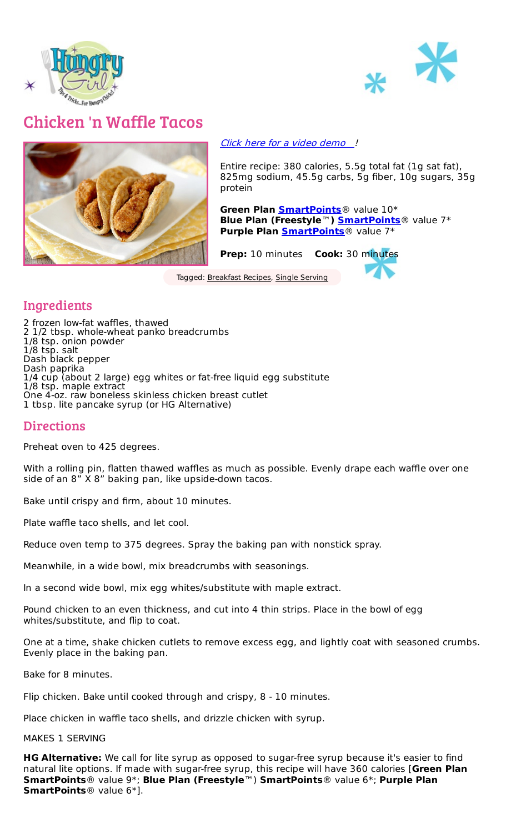



## Chicken 'n Waffle Tacos



Click here for a video [demo](https://www.hungry-girl.com/videos/332-chicken_n_waffle_tacos)!

Entire recipe: 380 calories, 5.5g total fat (1g sat fat), 825mg sodium, 45.5g carbs, 5g fiber, 10g sugars, 35g protein

**Green Plan [SmartPoints](https://www.hungry-girl.com/pages/smartpoints)**® value 10\* **Blue Plan (Freestyle**™**) [SmartPoints](https://www.hungry-girl.com/pages/smartpoints)**® value 7\* **Purple Plan [SmartPoints](https://www.hungry-girl.com/pages/smartpoints)**® value 7\*

**Prep:** 10 minutes **Cook:** 30 minutes

Tagged: [Breakfast](file:///recipes/categories/breakfast-recipes) Recipes, Single [Serving](file:///recipes/tags/single-serving)

## Ingredients

2 frozen low-fat waffles, thawed 2 1/2 tbsp. whole-wheat panko breadcrumbs 1/8 tsp. onion powder 1/8 tsp. salt Dash black pepper Dash paprika 1/4 cup (about 2 large) egg whites or fat-free liquid egg substitute 1/8 tsp. maple extract One 4-oz. raw boneless skinless chicken breast cutlet 1 tbsp. lite pancake syrup (or HG Alternative)

## **Directions**

Preheat oven to 425 degrees.

With a rolling pin, flatten thawed waffles as much as possible. Evenly drape each waffle over one side of an 8" X 8" baking pan, like upside-down tacos.

Bake until crispy and firm, about 10 minutes.

Plate waffle taco shells, and let cool.

Reduce oven temp to 375 degrees. Spray the baking pan with nonstick spray.

Meanwhile, in a wide bowl, mix breadcrumbs with seasonings.

In a second wide bowl, mix egg whites/substitute with maple extract.

Pound chicken to an even thickness, and cut into 4 thin strips. Place in the bowl of egg whites/substitute, and flip to coat.

One at a time, shake chicken cutlets to remove excess egg, and lightly coat with seasoned crumbs. Evenly place in the baking pan.

Bake for 8 minutes.

Flip chicken. Bake until cooked through and crispy, 8 - 10 minutes.

Place chicken in waffle taco shells, and drizzle chicken with syrup.

MAKES 1 SERVING

**HG Alternative:** We call for lite syrup as opposed to sugar-free syrup because it's easier to find natural lite options. If made with sugar-free syrup, this recipe will have 360 calories [**Green Plan SmartPoints**® value 9\*; **Blue Plan (Freestyle**™) **SmartPoints**® value 6\*; **Purple Plan SmartPoints**® value 6\*].